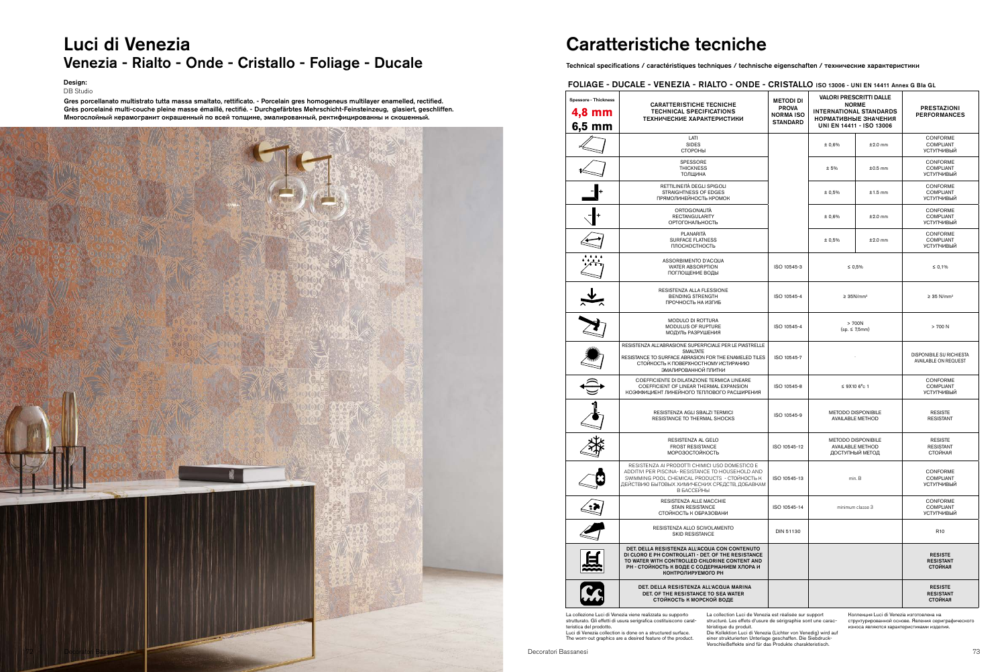## Luci di Venezia Venezia - Rialto - Onde - Cristallo - Foliage - Ducale

Design: DB Studio

# Caratteristiche tecniche

Technical specifications / caractéristiques techniques / technische eigenschaften / технические характеристики

### FOLIAGE - DUCALE - VENEZIA - RIALTO - ONDE - CRISTALLO ISO 13006 - UNI EN 14411 Annex G BIa GL

| <b>Spessore - Thickness</b><br>4,8 mm<br>6,5 mm                                                                                                                                                                                                                                                                                                                                                                                                                                                                                                                                                                                                                                                                            | <b>CARATTERISTICHE TECNICHE</b><br><b>TECHNICAL SPECIFICATIONS</b><br>ТЕХНИЧЕСКИЕ ХАРАКТЕРИСТИКИ                                                                                                                          | <b>METODI DI</b><br><b>PROVA</b><br><b>NORMA ISO</b><br><b>STANDARD</b> | <b>VALORI PRESCRITTI DALLE</b><br><b>NORME</b><br><b>INTERNATIONAL STANDARDS</b><br>НОРМАТИВНЫЕ ЗНАЧЕНИЯ<br>UNI EN 14411 - ISO 13006 |           | <b>PRESTAZIONI</b><br><b>PERFORMANCES</b>               |  |
|----------------------------------------------------------------------------------------------------------------------------------------------------------------------------------------------------------------------------------------------------------------------------------------------------------------------------------------------------------------------------------------------------------------------------------------------------------------------------------------------------------------------------------------------------------------------------------------------------------------------------------------------------------------------------------------------------------------------------|---------------------------------------------------------------------------------------------------------------------------------------------------------------------------------------------------------------------------|-------------------------------------------------------------------------|--------------------------------------------------------------------------------------------------------------------------------------|-----------|---------------------------------------------------------|--|
|                                                                                                                                                                                                                                                                                                                                                                                                                                                                                                                                                                                                                                                                                                                            | LATI<br><b>SIDES</b><br>СТОРОНЫ                                                                                                                                                                                           |                                                                         | ± 0,6%                                                                                                                               | $±2.0$ mm | CONFORME<br><b>COMPLIANT</b><br><b>УСТУПЧИВЫЙ</b>       |  |
|                                                                                                                                                                                                                                                                                                                                                                                                                                                                                                                                                                                                                                                                                                                            | SPESSORE<br><b>THICKNESS</b><br>ТОЛЩИНА                                                                                                                                                                                   |                                                                         | ± 5%                                                                                                                                 | $±0.5$ mm | CONFORME<br><b>COMPLIANT</b><br><b>УСТУПЧИВЫЙ</b>       |  |
|                                                                                                                                                                                                                                                                                                                                                                                                                                                                                                                                                                                                                                                                                                                            | RETTILINEITÀ DEGLI SPIGOLI<br>STRAIGHTNESS OF EDGES<br>ПРЯМОЛИНЕЙНОСТЬ КРОМОК                                                                                                                                             |                                                                         | ± 0,5%                                                                                                                               | $±1.5$ mm | CONFORME<br><b>COMPLIANT</b><br><b>УСТУПЧИВЫЙ</b>       |  |
|                                                                                                                                                                                                                                                                                                                                                                                                                                                                                                                                                                                                                                                                                                                            | ORTOGONALITÀ<br><b>RECTANGULARITY</b><br>ОРТОГОНАЛЬНОСТЬ                                                                                                                                                                  |                                                                         | ± 0,6%                                                                                                                               | $±2.0$ mm | CONFORME<br><b>COMPLIANT</b><br><b>УСТУПЧИВЫЙ</b>       |  |
|                                                                                                                                                                                                                                                                                                                                                                                                                                                                                                                                                                                                                                                                                                                            | PLANARITÀ<br><b>SURFACE FLATNESS</b><br>ПЛОСКОСТНОСТЬ                                                                                                                                                                     |                                                                         | ± 0,5%                                                                                                                               | $±2.0$ mm | CONFORME<br><b>COMPLIANT</b><br><b>УСТУПЧИВЫЙ</b>       |  |
|                                                                                                                                                                                                                                                                                                                                                                                                                                                                                                                                                                                                                                                                                                                            | ASSORBIMENTO D'ACQUA<br><b>WATER ABSORPTION</b><br>ПОГЛОЩЕНИЕ ВОДЫ                                                                                                                                                        | ISO 10545-3                                                             | $\leq 0,5\%$                                                                                                                         |           | $\leq 0,1\%$                                            |  |
|                                                                                                                                                                                                                                                                                                                                                                                                                                                                                                                                                                                                                                                                                                                            | RESISTENZA ALLA FLESSIONE<br><b>BENDING STRENGTH</b><br>ПРОЧНОСТЬ НА ИЗГИБ                                                                                                                                                | ISO 10545-4                                                             | $\geq$ 35N/mm <sup>2</sup>                                                                                                           |           | $\geq$ 35 N/mm <sup>2</sup>                             |  |
|                                                                                                                                                                                                                                                                                                                                                                                                                                                                                                                                                                                                                                                                                                                            | <b>MODULO DI ROTTURA</b><br>MODULUS OF RUPTURE<br>МОДУЛЬ РАЗРУШЕНИЯ                                                                                                                                                       | ISO 10545-4                                                             | > 700N<br>$(sp. \leq 7,5mm)$                                                                                                         |           | > 700 N                                                 |  |
|                                                                                                                                                                                                                                                                                                                                                                                                                                                                                                                                                                                                                                                                                                                            | RESISTENZA ALL'ABRASIONE SUPERFICIALE PER LE PIASTRELLE<br><b>SMALTATE</b><br>RESISTANCE TO SURFACE ABRASION FOR THE ENAMELED TILES<br>СТОЙКОСТЬ К ПОВЕРХНОСТНОМУ ИСТИРАНИЮ<br>ЭМАЛИРОВАННОЙ ПЛИТКИ                       | ISO 10545-7                                                             |                                                                                                                                      |           | <b>DISPONIBILE SU RICHIESTA</b><br>AVAILABLE ON REQUEST |  |
|                                                                                                                                                                                                                                                                                                                                                                                                                                                                                                                                                                                                                                                                                                                            | COEFFICIENTE DI DILATAZIONE TERMICA LINEARE<br>COEFFICIENT OF LINEAR THERMAL EXPANSION<br>КОЭФФИЦИЕНТ ЛИНЕЙНОГО ТЕПЛОВОГО РАСШИРЕНИЯ                                                                                      | ISO 10545-8                                                             | $\leq$ 9X10 6°c 1                                                                                                                    |           | CONFORME<br>COMPLIANT<br><b>УСТУПЧИВЫЙ</b>              |  |
|                                                                                                                                                                                                                                                                                                                                                                                                                                                                                                                                                                                                                                                                                                                            | RESISTENZA AGLI SBALZI TERMICI<br>RESISTANCE TO THERMAL SHOCKS                                                                                                                                                            | ISO 10545-9                                                             | <b>METODO DISPONIBILE</b><br><b>AVAILABLE METHOD</b>                                                                                 |           | <b>RESISTE</b><br><b>RESISTANT</b>                      |  |
|                                                                                                                                                                                                                                                                                                                                                                                                                                                                                                                                                                                                                                                                                                                            | RESISTENZA AL GELO<br><b>FROST RESISTANCE</b><br>МОРОЗОСТОЙКОСТЬ                                                                                                                                                          | ISO 10545-12                                                            | <b>METODO DISPONIBILE</b><br><b>AVAILABLE METHOD</b><br>ДОСТУПНЫЙ МЕТОД                                                              |           | <b>RESISTE</b><br><b>RESISTANT</b><br>СТОЙКАЯ           |  |
|                                                                                                                                                                                                                                                                                                                                                                                                                                                                                                                                                                                                                                                                                                                            | RESISTENZA AI PRODOTTI CHIMICI USO DOMESTICO E<br>ADDITIVI PER PISCINA- RESISTANCE TO HOUSEHOLD AND<br>SWIMMING POOL CHEMICAL PRODUCTS - CTOЙКОСТЬ К<br>ДЕЙСТВИЮ БЫТОВЫХ ХИМИЧЕСКИХ СРЕДСТВ, ДОБАВКАМ<br>В БАССЕЙНЫ       | ISO 10545-13                                                            | min. B                                                                                                                               |           | CONFORME<br><b>COMPLIANT</b><br><b>УСТУПЧИВЫЙ</b>       |  |
|                                                                                                                                                                                                                                                                                                                                                                                                                                                                                                                                                                                                                                                                                                                            | RESISTENZA ALLE MACCHIE<br>STAIN RESISTANCE<br>СТОЙКОСТЬ К ОБРАЗОВАНИ                                                                                                                                                     | ISO 10545-14                                                            | minimum classe 3                                                                                                                     |           | CONFORME<br><b>COMPLIANT</b><br><b>УСТУПЧИВЫЙ</b>       |  |
|                                                                                                                                                                                                                                                                                                                                                                                                                                                                                                                                                                                                                                                                                                                            | RESISTENZA ALLO SCIVOLAMENTO<br><b>SKID RESISTANCE</b>                                                                                                                                                                    | DIN 51130                                                               |                                                                                                                                      |           | R <sub>10</sub>                                         |  |
|                                                                                                                                                                                                                                                                                                                                                                                                                                                                                                                                                                                                                                                                                                                            | DET. DELLA RESISTENZA ALL'ACQUA CON CONTENUTO<br>DI CLORO E PH CONTROLLATI - DET. OF THE RESISTANCE<br>TO WATER WITH CONTROLLED CHLORINE CONTENT AND<br>РН - СТОЙКОСТЬ К ВОДЕ С СОДЕРЖАНИЕМ ХЛОРА И<br>КОНТРОЛИРУЕМОГО РН |                                                                         |                                                                                                                                      |           | <b>RESISTE</b><br><b>RESISTANT</b><br><b>СТОЙКАЯ</b>    |  |
|                                                                                                                                                                                                                                                                                                                                                                                                                                                                                                                                                                                                                                                                                                                            | DET. DELLA RESISTENZA ALL'ACQUA MARINA<br>DET. OF THE RESISTANCE TO SEA WATER<br>СТОЙКОСТЬ К МОРСКОЙ ВОДЕ                                                                                                                 |                                                                         |                                                                                                                                      |           | <b>RESISTE</b><br><b>RESISTANT</b><br><b>СТОЙКАЯ</b>    |  |
| La collezione Luci di Venezia viene realizzata su supporto<br>La collection Luci de Venezia est réalisée sur support<br>Коллекция Luci di Venezia изготовлена на<br>strutturato. Gli effetti di usura serigrafica costituiscono carat-<br>structuré. Les effets d'usure de sérigraphie sont une carac-<br>структурированной основе. Явления сериграфического<br>teristica del prodotto.<br>téristique du produit.<br>износа являются характеристиками изделия.<br>Luci di Venezia collection is done on a structured surface.<br>Die Kollektion Luci di Venezia (Lichter von Venedig) wird auf<br>The worn-out graphics are a desired feature of the product.<br>einer strukturierten Unterlage geschaffen. Die Siebdruck- |                                                                                                                                                                                                                           |                                                                         |                                                                                                                                      |           |                                                         |  |

téristique du produit. Die Kollektion Luci di Venezia (Lichter von Venedig) wird auf einer strukturierten Unterlage geschaffen. Die Siebdruck-Verschleißeffekte sind für das Produkte charakteristisch.

Gres porcellanato multistrato tutta massa smaltato, rettificato. - Porcelain gres homogeneus multilayer enamelled, rectified. Grès porcelainé multi-couche pleine masse émaillé, rectifié. - Durchgefärbtes Mehrschicht-Feinsteinzeug, glasiert, geschliffen. Многослойный керамогранит окрашенный по всей толщине, эмалированный, ректифицированны и скошенный.

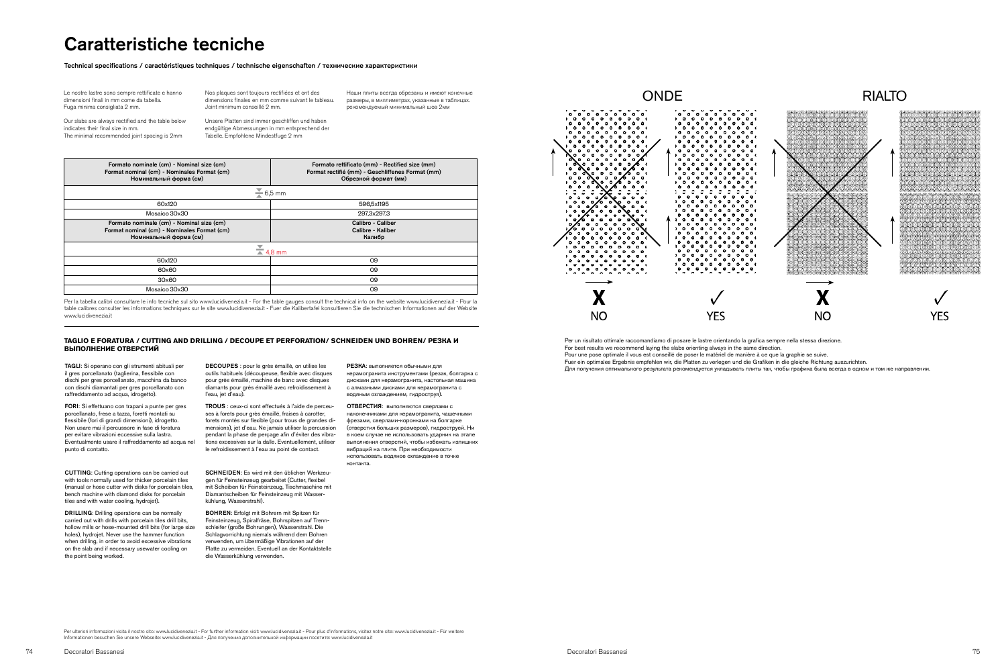### **TAGLIO E FORATURA / CUTTING AND DRILLING / DECOUPE ET PERFORATION/ SCHNEIDEN UND BOHREN/ РЕЗКА И ВЫПОЛНЕНИЕ ОТВЕРСТИЙ**

Per un risultato ottimale raccomandiamo di posare le lastre orientando la grafica sempre nella stessa direzione. For best results we recommend laying the slabs orienting always in the same direction. Pour une pose optimale il vous est conseillé de poser le matériel de manière à ce que la graphie se suive. Fuer ein optimales Ergebnis empfehlen wir, die Platten zu verlegen und die Grafiken in die gleiche Richtung auszurichten. Для получения оптимального результата рекомендуется укладывать плиты так, чтобы графика была всегда в одном и том же направлении.

Per ulteriori informazioni visita il nostro sito: www.lucidivenezia.it - For further information visit: www.lucidivenezia.it - Pour plus d'informations, visitez notre site: www.lucidivenezia.it - Für weitere<br>Informationen Informationen besuchen Sie unsere Webseite: www.lucidivenezia.it - Для получения дополнительной информации по



## Caratteristiche tecniche

### Technical specifications / caractéristiques techniques / technische eigenschaften / технические характеристики

TAGLI: Si operano con gli strumenti abituali per il gres porcellanato (taglierina, flessibile con dischi per gres porcellanato, macchina da banco con dischi diamantati per gres porcellanato con raffreddamento ad acqua, idrogetto).

DECOUPES : pour le grès émaillé, on utilise les outils habituels (découpeuse, flexible avec disques pour grès émaillé, machine de banc avec disques diamants pour grès émaillé avec refroidissement à l'eau, jet d'eau).

FORI: Si effettuano con trapani a punte per gres porcellanato, frese a tazza, foretti montati su flessibile (fori di grandi dimensioni), idrogetto. Non usare mai il percussore in fase di foratura per evitare vibrazioni eccessive sulla lastra. Eventualmente usare il raffreddamento ad acqua nel punto di contatto.

CUTTING: Cutting operations can be carried out with tools normally used for thicker porcelain tiles (manual or hose cutter with disks for porcelain tiles, bench machine with diamond disks for porcelain tiles and with water cooling, hydrojet).

DRILLING: Drilling operations can be normally carried out with drills with porcelain tiles drill bits, hollow mills or hose-mounted drill bits (for large size holes), hydrojet. Never use the hammer function when drilling, in order to avoid excessive vibrations on the slab and if necessary usewater cooling on the point being worked.

TROUS : ceux-ci sont effectués à l'aide de perceuses à forets pour grès émaillé, fraises à carotter, forets montés sur flexible (pour trous de grandes dimensions), jet d'eau. Ne jamais utiliser la percussion pendant la phase de perçage afin d'éviter des vibrations excessives sur la dalle. Eventuellement, utiliser le refroidissement à l'eau au point de contact.

SCHNEIDEN: Es wird mit den üblichen Werkzeugen für Feinsteinzeug gearbeitet (Cutter, flexibel mit Scheiben für Feinsteinzeug, Tischmaschine mit Diamantscheiben für Feinsteinzeug mit Wasserkühlung, Wasserstrahl).

BOHREN: Erfolgt mit Bohrern mit Spitzen für Feinsteinzeug, Spiralfräse, Bohrspitzen auf Trennschleifer (große Bohrungen), Wasserstrahl. Die Schlagvorrichtung niemals während dem Bohren verwenden, um übermäßige Vibrationen auf der Platte zu vermeiden. Eventuell an der Kontaktstelle die Wasserkühlung verwenden.

РЕЗКА: выполняется обычными для керамогранита инструментами (резак, болгарка с дисками для керамогранита, настольная машина с алмазными дисками для керамогранита с водяным охлаждением, гидроструя).

ОТВЕРСТИЯ: выполняются сверлами с наконечниками для керамогранита, чашечными фрезами, сверлами-коронками на болгарке (отверстия больших размеров), гидроструей. Ни в коем случае не использовать ударник на этапе выполнения отверстий, чтобы избежать излишних вибраций на плите. При необходимости использовать водяное охлаждение в точке контакта.



| Formato nominale (cm) - Nominal size (cm)<br>Format nominal (cm) - Nominales Format (cm)<br>Номинальный форма (см) | Formato rettificato (mm) - Rectified size (mm)<br>Format rectifié (mm) - Geschliffenes Format (mm)<br>Обрезной формат (мм) |  |  |  |  |
|--------------------------------------------------------------------------------------------------------------------|----------------------------------------------------------------------------------------------------------------------------|--|--|--|--|
| $\sum$ 6,5 mm                                                                                                      |                                                                                                                            |  |  |  |  |
| 60x120                                                                                                             | 596.5x1195                                                                                                                 |  |  |  |  |
| Mosaico 30x30                                                                                                      | 297,3x297,3                                                                                                                |  |  |  |  |
| Formato nominale (cm) - Nominal size (cm)<br>Format nominal (cm) - Nominales Format (cm)<br>Номинальный форма (см) | Calibro - Caliber<br>Calibre - Kaliber<br>Калибр                                                                           |  |  |  |  |
| $\sum$ 4,8 mm                                                                                                      |                                                                                                                            |  |  |  |  |
| 60x120                                                                                                             | 09                                                                                                                         |  |  |  |  |
| 60x60                                                                                                              | 09                                                                                                                         |  |  |  |  |
| 30x60                                                                                                              | 09                                                                                                                         |  |  |  |  |
| Mosaico 30x30                                                                                                      | 09                                                                                                                         |  |  |  |  |
|                                                                                                                    |                                                                                                                            |  |  |  |  |

Le nostre lastre sono sempre rettificate e hanno dimensioni finali in mm come da tabella. Fuga minima consigliata 2 mm.

Our slabs are always rectified and the table below indicates their final size in mm. The minimal recommended joint spacing is 2mm

Nos plaques sont toujours rectifiées et ont des dimensions finales en mm comme suivant le tableau. Joint minimum conseillé 2 mm.

Unsere Platten sind immer geschliffen und haben endgültige Abmessungen in mm entsprechend der Tabelle. Empfohlene Mindestfuge 2 mm

Наши плиты всегда обрезаны и имеют конечные размеры, в миллиметрах, указанные в таблицах. рекомендуемый минимальный шов 2мм

Per la tabella calibri consultare le info tecniche sul sito www.lucidivenezia.it - For the table gauges consult the technical info on the website www.lucidivenezia.it - Pour la table calibres consulter les informations techniques sur le site www.lucidivenezia.it - Fuer die Kalibertafel konsultieren Sie die technischen Informationen auf der Website www.lucidivenezia.it